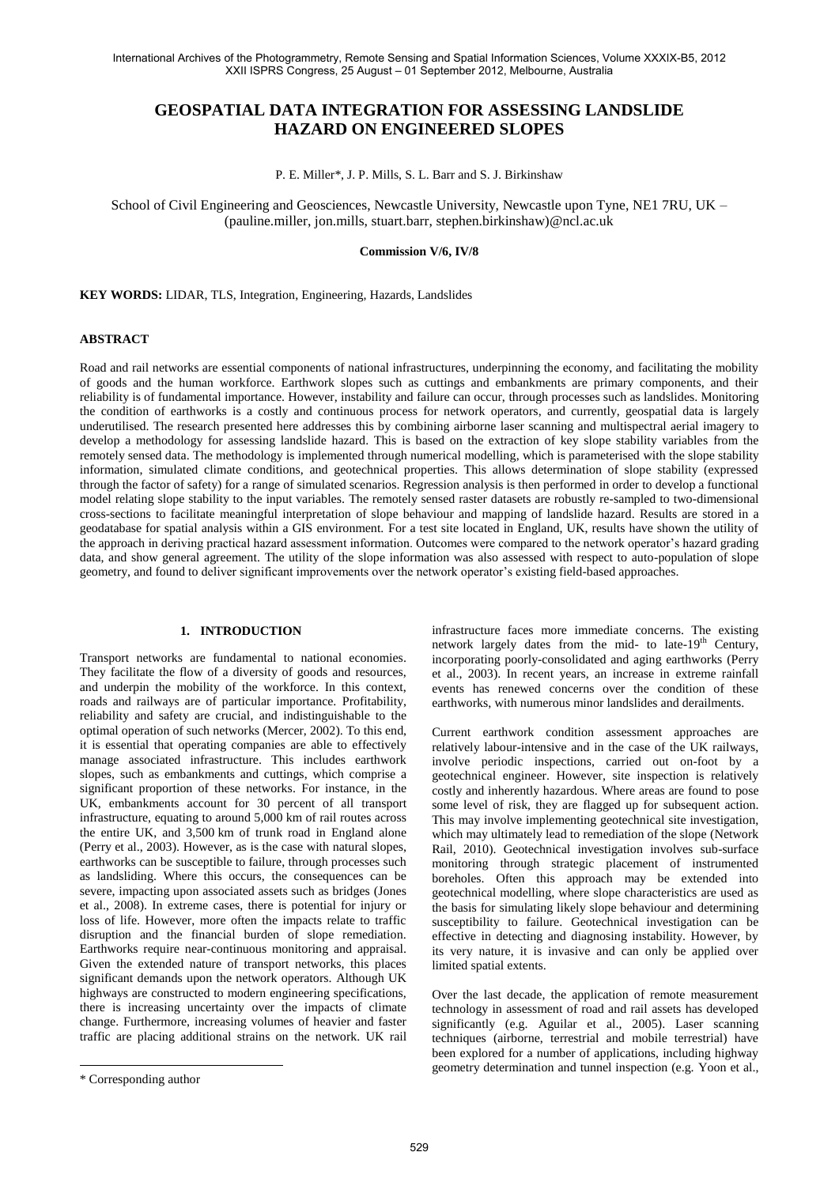# **GEOSPATIAL DATA INTEGRATION FOR ASSESSING LANDSLIDE HAZARD ON ENGINEERED SLOPES**

P. E. Miller\*, J. P. Mills, S. L. Barr and S. J. Birkinshaw

School of Civil Engineering and Geosciences, Newcastle University, Newcastle upon Tyne, NE1 7RU, UK – (pauline.miller, jon.mills, stuart.barr, stephen.birkinshaw)@ncl.ac.uk

#### **Commission V/6, IV/8**

**KEY WORDS:** LIDAR, TLS, Integration, Engineering, Hazards, Landslides

### **ABSTRACT**

Road and rail networks are essential components of national infrastructures, underpinning the economy, and facilitating the mobility of goods and the human workforce. Earthwork slopes such as cuttings and embankments are primary components, and their reliability is of fundamental importance. However, instability and failure can occur, through processes such as landslides. Monitoring the condition of earthworks is a costly and continuous process for network operators, and currently, geospatial data is largely underutilised. The research presented here addresses this by combining airborne laser scanning and multispectral aerial imagery to develop a methodology for assessing landslide hazard. This is based on the extraction of key slope stability variables from the remotely sensed data. The methodology is implemented through numerical modelling, which is parameterised with the slope stability information, simulated climate conditions, and geotechnical properties. This allows determination of slope stability (expressed through the factor of safety) for a range of simulated scenarios. Regression analysis is then performed in order to develop a functional model relating slope stability to the input variables. The remotely sensed raster datasets are robustly re-sampled to two-dimensional cross-sections to facilitate meaningful interpretation of slope behaviour and mapping of landslide hazard. Results are stored in a geodatabase for spatial analysis within a GIS environment. For a test site located in England, UK, results have shown the utility of the approach in deriving practical hazard assessment information. Outcomes were compared to the network operator's hazard grading data, and show general agreement. The utility of the slope information was also assessed with respect to auto-population of slope geometry, and found to deliver significant improvements over the network operator's existing field-based approaches.

### **1. INTRODUCTION\***

Transport networks are fundamental to national economies. They facilitate the flow of a diversity of goods and resources, and underpin the mobility of the workforce. In this context, roads and railways are of particular importance. Profitability, reliability and safety are crucial, and indistinguishable to the optimal operation of such networks [\(Mercer, 2002\)](#page-5-0). To this end, it is essential that operating companies are able to effectively manage associated infrastructure. This includes earthwork slopes, such as embankments and cuttings, which comprise a significant proportion of these networks. For instance, in the UK, embankments account for 30 percent of all transport infrastructure, equating to around 5,000 km of rail routes across the entire UK, and 3,500 km of trunk road in England alone [\(Perry et al., 2003\)](#page-5-1). However, as is the case with natural slopes, earthworks can be susceptible to failure, through processes such as landsliding. Where this occurs, the consequences can be severe, impacting upon associated assets such as bridges [\(Jones](#page-5-2)  et al., 2008). In extreme cases, there is potential for injury or loss of life. However, more often the impacts relate to traffic disruption and the financial burden of slope remediation. Earthworks require near-continuous monitoring and appraisal. Given the extended nature of transport networks, this places significant demands upon the network operators. Although UK highways are constructed to modern engineering specifications, there is increasing uncertainty over the impacts of climate change. Furthermore, increasing volumes of heavier and faster traffic are placing additional strains on the network. UK rail

1

infrastructure faces more immediate concerns. The existing network largely dates from the mid- to late-19<sup>th</sup> Century, incorporating poorly-consolidated and aging earthworks [\(Perry](#page-5-1)  et al., 2003). In recent years, an increase in extreme rainfall events has renewed concerns over the condition of these earthworks, with numerous minor landslides and derailments.

Current earthwork condition assessment approaches are relatively labour-intensive and in the case of the UK railways, involve periodic inspections, carried out on-foot by a geotechnical engineer. However, site inspection is relatively costly and inherently hazardous. Where areas are found to pose some level of risk, they are flagged up for subsequent action. This may involve implementing geotechnical site investigation, which may ultimately lead to remediation of the slope [\(Network](#page-5-3)  Rail, 2010). Geotechnical investigation involves sub-surface monitoring through strategic placement of instrumented boreholes. Often this approach may be extended into geotechnical modelling, where slope characteristics are used as the basis for simulating likely slope behaviour and determining susceptibility to failure. Geotechnical investigation can be effective in detecting and diagnosing instability. However, by its very nature, it is invasive and can only be applied over limited spatial extents.

Over the last decade, the application of remote measurement technology in assessment of road and rail assets has developed significantly (e.g. [Aguilar et al., 2005\)](#page-5-4). Laser scanning techniques (airborne, terrestrial and mobile terrestrial) have been explored for a number of applications, including highway geometry determination and tunnel inspection (e.g. [Yoon et al.,](#page-5-5) 

<sup>\*</sup> Corresponding author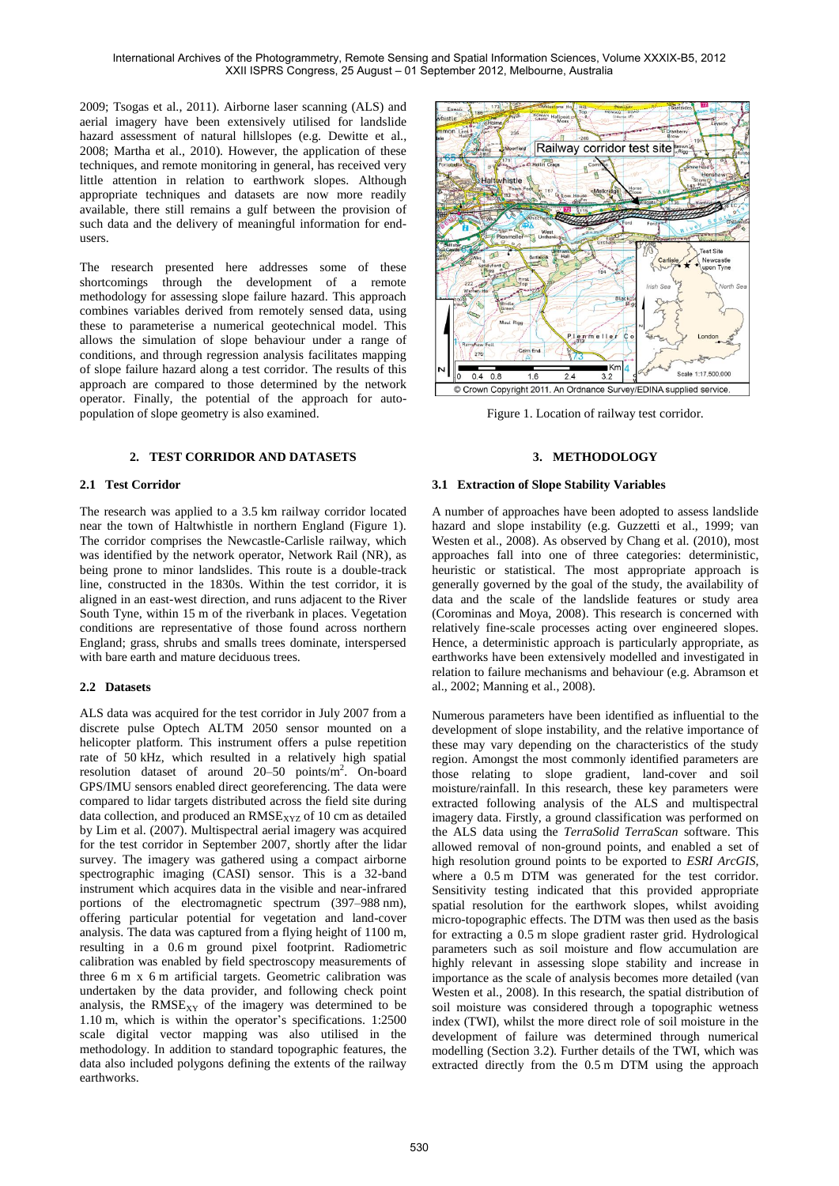[2009;](#page-5-5) [Tsogas et al., 2011\)](#page-5-6). Airborne laser scanning (ALS) and aerial imagery have been extensively utilised for landslide hazard assessment of natural hillslopes (e.g. [Dewitte et al.,](#page-5-7)  [2008;](#page-5-7) [Martha et al., 2010\)](#page-5-8). However, the application of these techniques, and remote monitoring in general, has received very little attention in relation to earthwork slopes. Although appropriate techniques and datasets are now more readily available, there still remains a gulf between the provision of such data and the delivery of meaningful information for endusers.

The research presented here addresses some of these shortcomings through the development of a remote methodology for assessing slope failure hazard. This approach combines variables derived from remotely sensed data, using these to parameterise a numerical geotechnical model. This allows the simulation of slope behaviour under a range of conditions, and through regression analysis facilitates mapping of slope failure hazard along a test corridor. The results of this approach are compared to those determined by the network operator. Finally, the potential of the approach for autopopulation of slope geometry is also examined.

### **2. TEST CORRIDOR AND DATASETS**

### **2.1 Test Corridor**

The research was applied to a 3.5 km railway corridor located near the town of Haltwhistle in northern England (Figure 1). The corridor comprises the Newcastle-Carlisle railway, which was identified by the network operator, Network Rail (NR), as being prone to minor landslides. This route is a double-track line, constructed in the 1830s. Within the test corridor, it is aligned in an east-west direction, and runs adjacent to the River South Tyne, within 15 m of the riverbank in places. Vegetation conditions are representative of those found across northern England; grass, shrubs and smalls trees dominate, interspersed with bare earth and mature deciduous trees.

#### **2.2 Datasets**

ALS data was acquired for the test corridor in July 2007 from a discrete pulse Optech ALTM 2050 sensor mounted on a helicopter platform. This instrument offers a pulse repetition rate of 50 kHz, which resulted in a relatively high spatial resolution dataset of around 20–50 points/m<sup>2</sup>. On-board GPS/IMU sensors enabled direct georeferencing. The data were compared to lidar targets distributed across the field site during data collection, and produced an RMSE<sub>XYZ</sub> of 10 cm as detailed by [Lim et al.](#page-5-9) (2007). Multispectral aerial imagery was acquired for the test corridor in September 2007, shortly after the lidar survey. The imagery was gathered using a compact airborne spectrographic imaging (CASI) sensor. This is a 32-band instrument which acquires data in the visible and near-infrared portions of the electromagnetic spectrum (397–988 nm), offering particular potential for vegetation and land-cover analysis. The data was captured from a flying height of 1100 m, resulting in a 0.6 m ground pixel footprint. Radiometric calibration was enabled by field spectroscopy measurements of three 6 m x 6 m artificial targets. Geometric calibration was undertaken by the data provider, and following check point analysis, the  $RMSE<sub>XY</sub>$  of the imagery was determined to be 1.10 m, which is within the operator's specifications. 1:2500 scale digital vector mapping was also utilised in the methodology. In addition to standard topographic features, the data also included polygons defining the extents of the railway earthworks.



Figure 1. Location of railway test corridor.

### **3. METHODOLOGY**

#### **3.1 Extraction of Slope Stability Variables**

A number of approaches have been adopted to assess landslide hazard and slope instability (e.g. [Guzzetti et al., 1999;](#page-5-10) [van](#page-5-11)  [Westen et al., 2008\)](#page-5-11). As observed by [Chang et al.](#page-5-12) (2010), most approaches fall into one of three categories: deterministic, heuristic or statistical. The most appropriate approach is generally governed by the goal of the study, the availability of data and the scale of the landslide features or study area [\(Corominas and Moya, 2008\)](#page-5-13). This research is concerned with relatively fine-scale processes acting over engineered slopes. Hence, a deterministic approach is particularly appropriate, as earthworks have been extensively modelled and investigated in relation to failure mechanisms and behaviour (e.g. [Abramson et](#page-5-14)  [al., 2002;](#page-5-14) [Manning et al., 2008\)](#page-5-15).

Numerous parameters have been identified as influential to the development of slope instability, and the relative importance of these may vary depending on the characteristics of the study region. Amongst the most commonly identified parameters are those relating to slope gradient, land-cover and soil moisture/rainfall. In this research, these key parameters were extracted following analysis of the ALS and multispectral imagery data. Firstly, a ground classification was performed on the ALS data using the *TerraSolid TerraScan* software. This allowed removal of non-ground points, and enabled a set of high resolution ground points to be exported to *ESRI ArcGIS*, where a 0.5 m DTM was generated for the test corridor. Sensitivity testing indicated that this provided appropriate spatial resolution for the earthwork slopes, whilst avoiding micro-topographic effects. The DTM was then used as the basis for extracting a 0.5 m slope gradient raster grid. Hydrological parameters such as soil moisture and flow accumulation are highly relevant in assessing slope stability and increase in importance as the scale of analysis becomes more detailed [\(van](#page-5-11)  Westen et al., 2008). In this research, the spatial distribution of soil moisture was considered through a topographic wetness index (TWI), whilst the more direct role of soil moisture in the development of failure was determined through numerical modelling (Section 3.2). Further details of the TWI, which was extracted directly from the 0.5 m DTM using the approach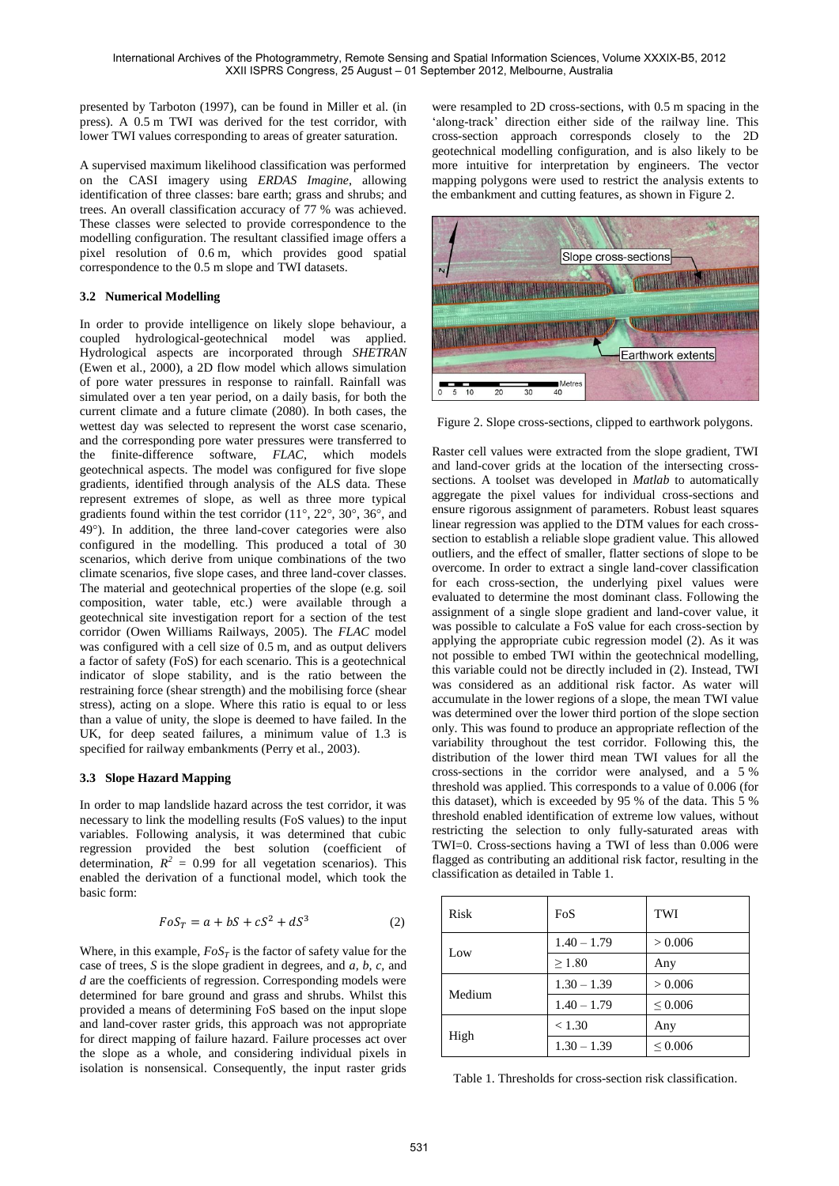presented by Tarboton (1997), can be found in Miller [et al. \(in](#page-5-16)  press). A 0.5 m TWI was derived for the test corridor, with lower TWI values corresponding to areas of greater saturation.

A supervised maximum likelihood classification was performed on the CASI imagery using *ERDAS Imagine*, allowing identification of three classes: bare earth; grass and shrubs; and trees. An overall classification accuracy of 77 % was achieved. These classes were selected to provide correspondence to the modelling configuration. The resultant classified image offers a pixel resolution of 0.6 m, which provides good spatial correspondence to the 0.5 m slope and TWI datasets.

# **3.2 Numerical Modelling**

In order to provide intelligence on likely slope behaviour, a coupled hydrological-geotechnical model was applied. Hydrological aspects are incorporated through *SHETRAN* [\(Ewen et al., 2000\)](#page-5-17), a 2D flow model which allows simulation of pore water pressures in response to rainfall. Rainfall was simulated over a ten year period, on a daily basis, for both the current climate and a future climate (2080). In both cases, the wettest day was selected to represent the worst case scenario, and the corresponding pore water pressures were transferred to the finite-difference software, *FLAC*, which models geotechnical aspects. The model was configured for five slope gradients, identified through analysis of the ALS data. These represent extremes of slope, as well as three more typical gradients found within the test corridor  $(11^{\circ}, 22^{\circ}, 30^{\circ}, 36^{\circ},$  and 49). In addition, the three land-cover categories were also configured in the modelling. This produced a total of 30 scenarios, which derive from unique combinations of the two climate scenarios, five slope cases, and three land-cover classes. The material and geotechnical properties of the slope (e.g. soil composition, water table, etc.) were available through a geotechnical site investigation report for a section of the test corridor [\(Owen Williams Railways, 2005\)](#page-5-18). The *FLAC* model was configured with a cell size of 0.5 m, and as output delivers a factor of safety (FoS) for each scenario. This is a geotechnical indicator of slope stability, and is the ratio between the restraining force (shear strength) and the mobilising force (shear stress), acting on a slope. Where this ratio is equal to or less than a value of unity, the slope is deemed to have failed. In the UK, for deep seated failures, a minimum value of 1.3 is specified for railway embankments [\(Perry et al., 2003\)](#page-5-1).

### **3.3 Slope Hazard Mapping**

In order to map landslide hazard across the test corridor, it was necessary to link the modelling results (FoS values) to the input variables. Following analysis, it was determined that cubic regression provided the best solution (coefficient of determination,  $R^2 = 0.99$  for all vegetation scenarios). This enabled the derivation of a functional model, which took the basic form:

$$
FoS_T = a + bS + cS^2 + dS^3 \tag{2}
$$

Where, in this example,  $F \circ S_T$  is the factor of safety value for the case of trees, *S* is the slope gradient in degrees, and *a, b, c,* and *d* are the coefficients of regression. Corresponding models were determined for bare ground and grass and shrubs. Whilst this provided a means of determining FoS based on the input slope and land-cover raster grids, this approach was not appropriate for direct mapping of failure hazard. Failure processes act over the slope as a whole, and considering individual pixels in isolation is nonsensical. Consequently, the input raster grids

were resampled to 2D cross-sections, with 0.5 m spacing in the 'along-track' direction either side of the railway line. This cross-section approach corresponds closely to the 2D geotechnical modelling configuration, and is also likely to be more intuitive for interpretation by engineers. The vector mapping polygons were used to restrict the analysis extents to the embankment and cutting features, as shown in Figure 2.



Figure 2. Slope cross-sections, clipped to earthwork polygons.

Raster cell values were extracted from the slope gradient, TWI and land-cover grids at the location of the intersecting crosssections. A toolset was developed in *Matlab* to automatically aggregate the pixel values for individual cross-sections and ensure rigorous assignment of parameters. Robust least squares linear regression was applied to the DTM values for each crosssection to establish a reliable slope gradient value. This allowed outliers, and the effect of smaller, flatter sections of slope to be overcome. In order to extract a single land-cover classification for each cross-section, the underlying pixel values were evaluated to determine the most dominant class. Following the assignment of a single slope gradient and land-cover value, it was possible to calculate a FoS value for each cross-section by applying the appropriate cubic regression model (2). As it was not possible to embed TWI within the geotechnical modelling, this variable could not be directly included in (2). Instead, TWI was considered as an additional risk factor. As water will accumulate in the lower regions of a slope, the mean TWI value was determined over the lower third portion of the slope section only. This was found to produce an appropriate reflection of the variability throughout the test corridor. Following this, the distribution of the lower third mean TWI values for all the cross-sections in the corridor were analysed, and a 5 % threshold was applied. This corresponds to a value of 0.006 (for this dataset), which is exceeded by 95 % of the data. This 5 % threshold enabled identification of extreme low values, without restricting the selection to only fully-saturated areas with TWI=0. Cross-sections having a TWI of less than 0.006 were flagged as contributing an additional risk factor, resulting in the classification as detailed in Table 1.

| Risk   | FoS           | TWI          |  |
|--------|---------------|--------------|--|
| Low    | $1.40 - 1.79$ | > 0.006      |  |
|        | $\geq 1.80$   | Any          |  |
| Medium | $1.30 - 1.39$ | > 0.006      |  |
|        | $1.40 - 1.79$ | $\leq 0.006$ |  |
| High   | < 1.30        | Any          |  |
|        | $1.30 - 1.39$ | $\leq 0.006$ |  |

Table 1. Thresholds for cross-section risk classification.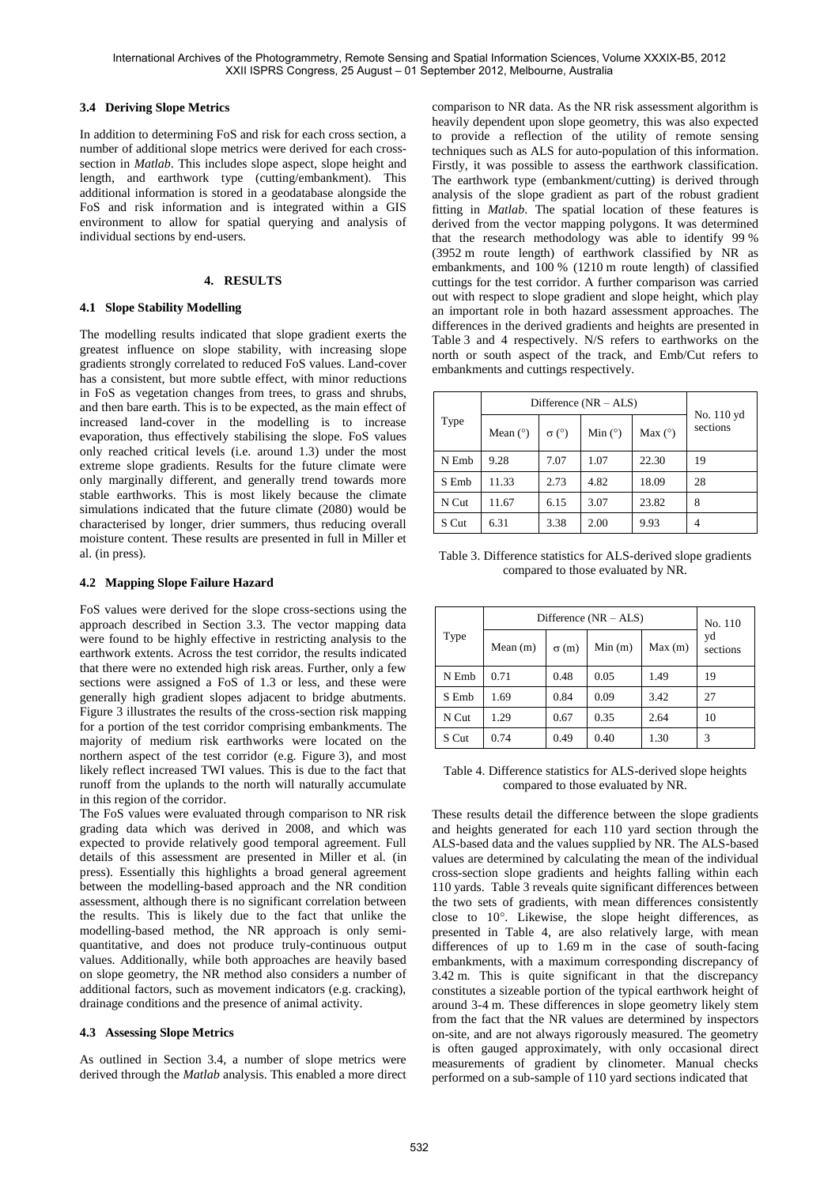### **3.4 Deriving Slope Metrics**

In addition to determining FoS and risk for each cross section, a number of additional slope metrics were derived for each crosssection in *Matlab*. This includes slope aspect, slope height and length, and earthwork type (cutting/embankment). This additional information is stored in a geodatabase alongside the FoS and risk information and is integrated within a GIS environment to allow for spatial querying and analysis of individual sections by end-users.

### **4. RESULTS**

# **4.1 Slope Stability Modelling**

The modelling results indicated that slope gradient exerts the greatest influence on slope stability, with increasing slope gradients strongly correlated to reduced FoS values. Land-cover has a consistent, but more subtle effect, with minor reductions in FoS as vegetation changes from trees, to grass and shrubs, and then bare earth. This is to be expected, as the main effect of increased land-cover in the modelling is to increase evaporation, thus effectively stabilising the slope. FoS values only reached critical levels (i.e. around 1.3) under the most extreme slope gradients. Results for the future climate were only marginally different, and generally trend towards more stable earthworks. This is most likely because the climate simulations indicated that the future climate (2080) would be characterised by longer, drier summers, thus reducing overall moisture content. These results are presented in full in [Miller et](#page-5-16)  al. (in press).

# **4.2 Mapping Slope Failure Hazard**

FoS values were derived for the slope cross-sections using the approach described in Section 3.3. The vector mapping data were found to be highly effective in restricting analysis to the earthwork extents. Across the test corridor, the results indicated that there were no extended high risk areas. Further, only a few sections were assigned a FoS of 1.3 or less, and these were generally high gradient slopes adjacent to bridge abutments. Figure 3 illustrates the results of the cross-section risk mapping for a portion of the test corridor comprising embankments. The majority of medium risk earthworks were located on the northern aspect of the test corridor (e.g. Figure 3), and most likely reflect increased TWI values. This is due to the fact that runoff from the uplands to the north will naturally accumulate in this region of the corridor.

The FoS values were evaluated through comparison to NR risk grading data which was derived in 2008, and which was expected to provide relatively good temporal agreement. Full details of this assessment are presented in [Miller et al.](#page-5-16) (in press). Essentially this highlights a broad general agreement between the modelling-based approach and the NR condition assessment, although there is no significant correlation between the results. This is likely due to the fact that unlike the modelling-based method, the NR approach is only semiquantitative, and does not produce truly-continuous output values. Additionally, while both approaches are heavily based on slope geometry, the NR method also considers a number of additional factors, such as movement indicators (e.g. cracking), drainage conditions and the presence of animal activity.

# **4.3 Assessing Slope Metrics**

As outlined in Section 3.4, a number of slope metrics were derived through the *Matlab* analysis. This enabled a more direct comparison to NR data. As the NR risk assessment algorithm is heavily dependent upon slope geometry, this was also expected to provide a reflection of the utility of remote sensing techniques such as ALS for auto-population of this information. Firstly, it was possible to assess the earthwork classification. The earthwork type (embankment/cutting) is derived through analysis of the slope gradient as part of the robust gradient fitting in *Matlab*. The spatial location of these features is derived from the vector mapping polygons. It was determined that the research methodology was able to identify 99 % (3952 m route length) of earthwork classified by NR as embankments, and 100 % (1210 m route length) of classified cuttings for the test corridor. A further comparison was carried out with respect to slope gradient and slope height, which play an important role in both hazard assessment approaches. The differences in the derived gradients and heights are presented in Table 3 and 4 respectively. N/S refers to earthworks on the north or south aspect of the track, and Emb/Cut refers to embankments and cuttings respectively.

| Type  | Difference $(NR - ALS)$ |                      |           |           |                        |
|-------|-------------------------|----------------------|-----------|-----------|------------------------|
|       | Mean $(°)$              | $\sigma$ ( $\circ$ ) | Min $(°)$ | Max $(°)$ | No. 110 yd<br>sections |
| N Emb | 9.28                    | 7.07                 | 1.07      | 22.30     | 19                     |
| S Emb | 11.33                   | 2.73                 | 4.82      | 18.09     | 28                     |
| N Cut | 11.67                   | 6.15                 | 3.07      | 23.82     | 8                      |
| S Cut | 6.31                    | 3.38                 | 2.00      | 9.93      | 4                      |

Table 3. Difference statistics for ALS-derived slope gradients compared to those evaluated by NR.

| Type  | Difference $(NR - ALS)$ | No. 110     |        |        |                |
|-------|-------------------------|-------------|--------|--------|----------------|
|       | Mean $(m)$              | $\sigma(m)$ | Min(m) | Max(m) | yd<br>sections |
| N Emb | 0.71                    | 0.48        | 0.05   | 1.49   | 19             |
| S Emb | 1.69                    | 0.84        | 0.09   | 3.42   | 27             |
| N Cut | 1.29                    | 0.67        | 0.35   | 2.64   | 10             |
| S Cut | 0.74                    | 0.49        | 0.40   | 1.30   | 3              |

Table 4. Difference statistics for ALS-derived slope heights compared to those evaluated by NR.

These results detail the difference between the slope gradients and heights generated for each 110 yard section through the ALS-based data and the values supplied by NR. The ALS-based values are determined by calculating the mean of the individual cross-section slope gradients and heights falling within each 110 yards. Table 3 reveals quite significant differences between the two sets of gradients, with mean differences consistently close to 10°. Likewise, the slope height differences, as presented in Table 4, are also relatively large, with mean differences of up to 1.69 m in the case of south-facing embankments, with a maximum corresponding discrepancy of 3.42 m. This is quite significant in that the discrepancy constitutes a sizeable portion of the typical earthwork height of around 3-4 m. These differences in slope geometry likely stem from the fact that the NR values are determined by inspectors on-site, and are not always rigorously measured. The geometry is often gauged approximately, with only occasional direct measurements of gradient by clinometer. Manual checks performed on a sub-sample of 110 yard sections indicated that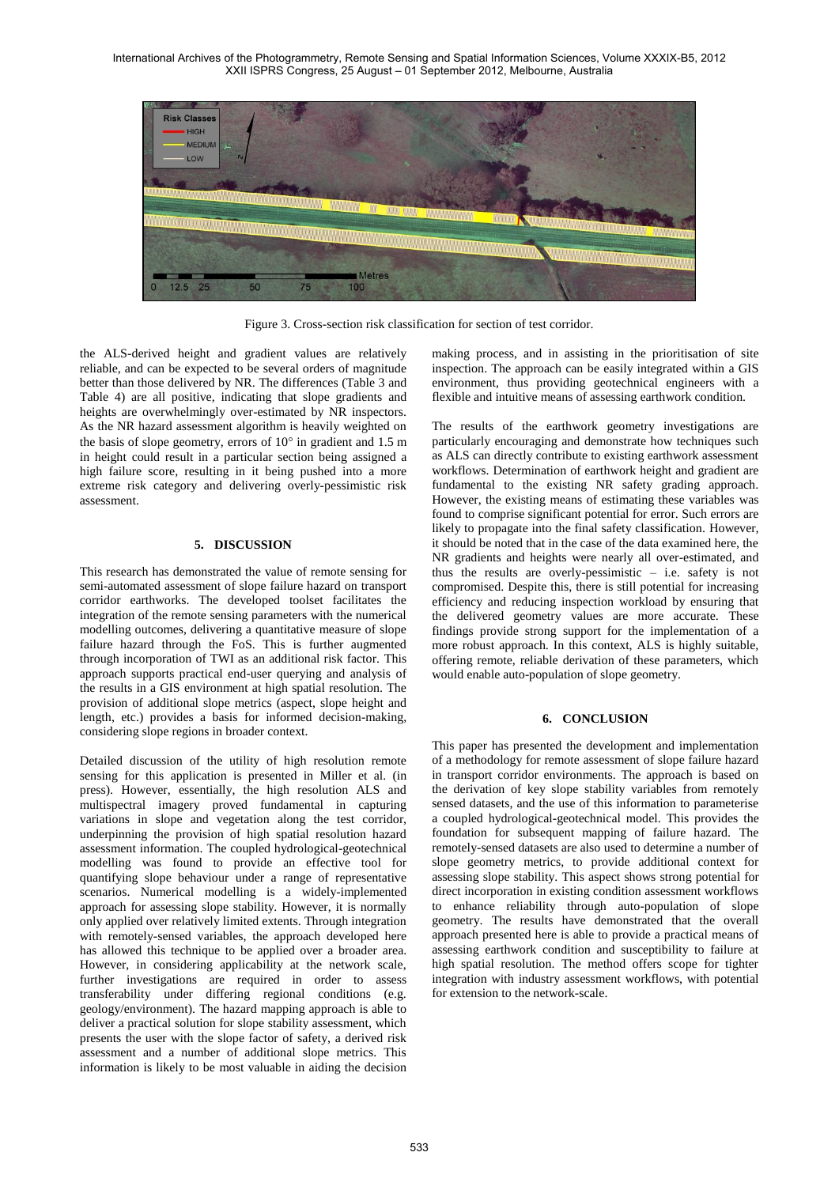International Archives of the Photogrammetry, Remote Sensing and Spatial Information Sciences, Volume XXXIX-B5, 2012 XXII ISPRS Congress, 25 August – 01 September 2012, Melbourne, Australia



Figure 3. Cross-section risk classification for section of test corridor.

the ALS-derived height and gradient values are relatively reliable, and can be expected to be several orders of magnitude better than those delivered by NR. The differences (Table 3 and Table 4) are all positive, indicating that slope gradients and heights are overwhelmingly over-estimated by NR inspectors. As the NR hazard assessment algorithm is heavily weighted on the basis of slope geometry, errors of  $10^{\circ}$  in gradient and 1.5 m in height could result in a particular section being assigned a high failure score, resulting in it being pushed into a more extreme risk category and delivering overly-pessimistic risk assessment.

#### **5. DISCUSSION**

This research has demonstrated the value of remote sensing for semi-automated assessment of slope failure hazard on transport corridor earthworks. The developed toolset facilitates the integration of the remote sensing parameters with the numerical modelling outcomes, delivering a quantitative measure of slope failure hazard through the FoS. This is further augmented through incorporation of TWI as an additional risk factor. This approach supports practical end-user querying and analysis of the results in a GIS environment at high spatial resolution. The provision of additional slope metrics (aspect, slope height and length, etc.) provides a basis for informed decision-making, considering slope regions in broader context.

Detailed discussion of the utility of high resolution remote sensing for this application is presented in [Miller et al. \(in](#page-5-16)  press). However, essentially, the high resolution ALS and multispectral imagery proved fundamental in capturing variations in slope and vegetation along the test corridor, underpinning the provision of high spatial resolution hazard assessment information. The coupled hydrological-geotechnical modelling was found to provide an effective tool for quantifying slope behaviour under a range of representative scenarios. Numerical modelling is a widely-implemented approach for assessing slope stability. However, it is normally only applied over relatively limited extents. Through integration with remotely-sensed variables, the approach developed here has allowed this technique to be applied over a broader area. However, in considering applicability at the network scale, further investigations are required in order to assess transferability under differing regional conditions (e.g. geology/environment). The hazard mapping approach is able to deliver a practical solution for slope stability assessment, which presents the user with the slope factor of safety, a derived risk assessment and a number of additional slope metrics. This information is likely to be most valuable in aiding the decision

making process, and in assisting in the prioritisation of site inspection. The approach can be easily integrated within a GIS environment, thus providing geotechnical engineers with a flexible and intuitive means of assessing earthwork condition.

The results of the earthwork geometry investigations are particularly encouraging and demonstrate how techniques such as ALS can directly contribute to existing earthwork assessment workflows. Determination of earthwork height and gradient are fundamental to the existing NR safety grading approach. However, the existing means of estimating these variables was found to comprise significant potential for error. Such errors are likely to propagate into the final safety classification. However, it should be noted that in the case of the data examined here, the NR gradients and heights were nearly all over-estimated, and thus the results are overly-pessimistic – i.e. safety is not compromised. Despite this, there is still potential for increasing efficiency and reducing inspection workload by ensuring that the delivered geometry values are more accurate. These findings provide strong support for the implementation of a more robust approach. In this context, ALS is highly suitable, offering remote, reliable derivation of these parameters, which would enable auto-population of slope geometry.

#### **6. CONCLUSION**

This paper has presented the development and implementation of a methodology for remote assessment of slope failure hazard in transport corridor environments. The approach is based on the derivation of key slope stability variables from remotely sensed datasets, and the use of this information to parameterise a coupled hydrological-geotechnical model. This provides the foundation for subsequent mapping of failure hazard. The remotely-sensed datasets are also used to determine a number of slope geometry metrics, to provide additional context for assessing slope stability. This aspect shows strong potential for direct incorporation in existing condition assessment workflows to enhance reliability through auto-population of slope geometry. The results have demonstrated that the overall approach presented here is able to provide a practical means of assessing earthwork condition and susceptibility to failure at high spatial resolution. The method offers scope for tighter integration with industry assessment workflows, with potential for extension to the network-scale.